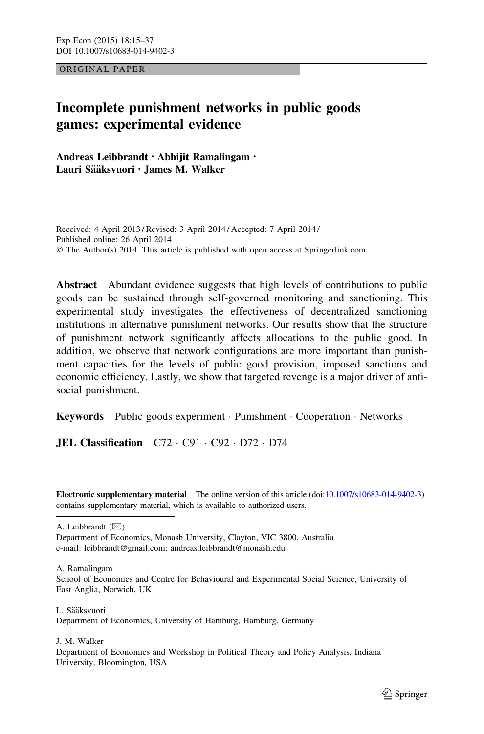ORIGINAL PAPER

# Incomplete punishment networks in public goods games: experimental evidence

Andreas Leibbrandt • Abhijit Ramalingam • Lauri Sääksvuori • James M. Walker

Received: 4 April 2013 / Revised: 3 April 2014 / Accepted: 7 April 2014 / Published online: 26 April 2014 © The Author(s) 2014. This article is published with open access at Springerlink.com

Abstract Abundant evidence suggests that high levels of contributions to public goods can be sustained through self-governed monitoring and sanctioning. This experimental study investigates the effectiveness of decentralized sanctioning institutions in alternative punishment networks. Our results show that the structure of punishment network significantly affects allocations to the public good. In addition, we observe that network configurations are more important than punishment capacities for the levels of public good provision, imposed sanctions and economic efficiency. Lastly, we show that targeted revenge is a major driver of antisocial punishment.

Keywords Public goods experiment · Punishment · Cooperation · Networks

**JEL Classification**  $C72 \cdot C91 \cdot C92 \cdot D72 \cdot D74$ 

A. Leibbrandt  $(\boxtimes)$ 

A. Ramalingam

School of Economics and Centre for Behavioural and Experimental Social Science, University of East Anglia, Norwich, UK

L. Sääksvuori Department of Economics, University of Hamburg, Hamburg, Germany

J. M. Walker Department of Economics and Workshop in Political Theory and Policy Analysis, Indiana University, Bloomington, USA

Electronic supplementary material The online version of this article (doi[:10.1007/s10683-014-9402-3\)](http://dx.doi.org/10.1007/s10683-014-9402-3) contains supplementary material, which is available to authorized users.

Department of Economics, Monash University, Clayton, VIC 3800, Australia e-mail: leibbrandt@gmail.com; andreas.leibbrandt@monash.edu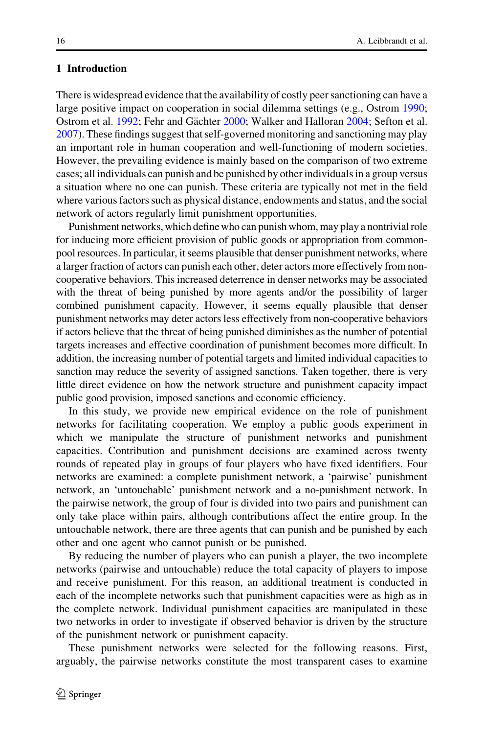#### 1 Introduction

There is widespread evidence that the availability of costly peer sanctioning can have a large positive impact on cooperation in social dilemma settings (e.g., Ostrom [1990;](#page-21-0) Ostrom et al. [1992;](#page-21-0) Fehr and Gächter [2000;](#page-21-0) Walker and Halloran [2004;](#page-22-0) Sefton et al. [2007\)](#page-22-0). These findings suggest that self-governed monitoring and sanctioning may play an important role in human cooperation and well-functioning of modern societies. However, the prevailing evidence is mainly based on the comparison of two extreme cases; all individuals can punish and be punished by other individuals in a group versus a situation where no one can punish. These criteria are typically not met in the field where various factors such as physical distance, endowments and status, and the social network of actors regularly limit punishment opportunities.

Punishment networks, which define who can punish whom, may play a nontrivial role for inducing more efficient provision of public goods or appropriation from commonpool resources. In particular, it seems plausible that denser punishment networks, where a larger fraction of actors can punish each other, deter actors more effectively from noncooperative behaviors. This increased deterrence in denser networks may be associated with the threat of being punished by more agents and/or the possibility of larger combined punishment capacity. However, it seems equally plausible that denser punishment networks may deter actors less effectively from non-cooperative behaviors if actors believe that the threat of being punished diminishes as the number of potential targets increases and effective coordination of punishment becomes more difficult. In addition, the increasing number of potential targets and limited individual capacities to sanction may reduce the severity of assigned sanctions. Taken together, there is very little direct evidence on how the network structure and punishment capacity impact public good provision, imposed sanctions and economic efficiency.

In this study, we provide new empirical evidence on the role of punishment networks for facilitating cooperation. We employ a public goods experiment in which we manipulate the structure of punishment networks and punishment capacities. Contribution and punishment decisions are examined across twenty rounds of repeated play in groups of four players who have fixed identifiers. Four networks are examined: a complete punishment network, a 'pairwise' punishment network, an 'untouchable' punishment network and a no-punishment network. In the pairwise network, the group of four is divided into two pairs and punishment can only take place within pairs, although contributions affect the entire group. In the untouchable network, there are three agents that can punish and be punished by each other and one agent who cannot punish or be punished.

By reducing the number of players who can punish a player, the two incomplete networks (pairwise and untouchable) reduce the total capacity of players to impose and receive punishment. For this reason, an additional treatment is conducted in each of the incomplete networks such that punishment capacities were as high as in the complete network. Individual punishment capacities are manipulated in these two networks in order to investigate if observed behavior is driven by the structure of the punishment network or punishment capacity.

These punishment networks were selected for the following reasons. First, arguably, the pairwise networks constitute the most transparent cases to examine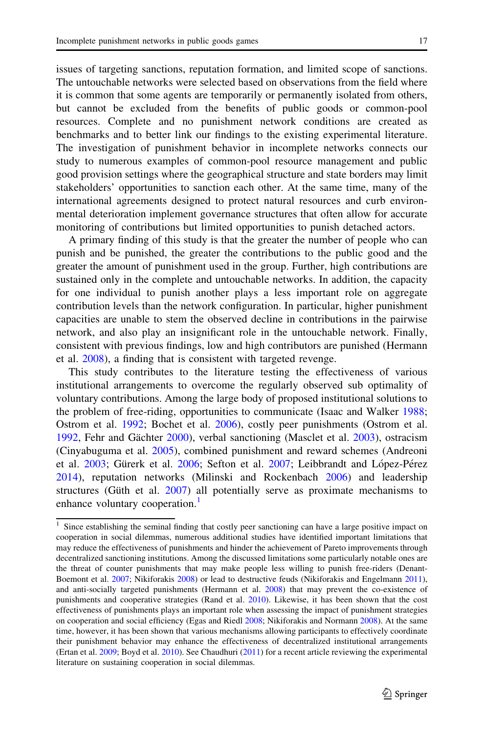issues of targeting sanctions, reputation formation, and limited scope of sanctions. The untouchable networks were selected based on observations from the field where it is common that some agents are temporarily or permanently isolated from others, but cannot be excluded from the benefits of public goods or common-pool resources. Complete and no punishment network conditions are created as benchmarks and to better link our findings to the existing experimental literature. The investigation of punishment behavior in incomplete networks connects our study to numerous examples of common-pool resource management and public good provision settings where the geographical structure and state borders may limit stakeholders' opportunities to sanction each other. At the same time, many of the international agreements designed to protect natural resources and curb environmental deterioration implement governance structures that often allow for accurate monitoring of contributions but limited opportunities to punish detached actors.

A primary finding of this study is that the greater the number of people who can punish and be punished, the greater the contributions to the public good and the greater the amount of punishment used in the group. Further, high contributions are sustained only in the complete and untouchable networks. In addition, the capacity for one individual to punish another plays a less important role on aggregate contribution levels than the network configuration. In particular, higher punishment capacities are unable to stem the observed decline in contributions in the pairwise network, and also play an insignificant role in the untouchable network. Finally, consistent with previous findings, low and high contributors are punished (Hermann et al. [2008\)](#page-21-0), a finding that is consistent with targeted revenge.

This study contributes to the literature testing the effectiveness of various institutional arrangements to overcome the regularly observed sub optimality of voluntary contributions. Among the large body of proposed institutional solutions to the problem of free-riding, opportunities to communicate (Isaac and Walker [1988;](#page-21-0) Ostrom et al. [1992;](#page-21-0) Bochet et al. [2006](#page-20-0)), costly peer punishments (Ostrom et al. [1992,](#page-21-0) Fehr and Gächter [2000](#page-21-0)), verbal sanctioning (Masclet et al. [2003\)](#page-21-0), ostracism (Cinyabuguma et al. [2005](#page-21-0)), combined punishment and reward schemes (Andreoni et al. [2003](#page-20-0); Gürerk et al. [2006](#page-21-0); Sefton et al. [2007;](#page-22-0) Leibbrandt and López-Pérez [2014\)](#page-21-0), reputation networks (Milinski and Rockenbach [2006\)](#page-21-0) and leadership structures (Güth et al.  $2007$ ) all potentially serve as proximate mechanisms to enhance voluntary cooperation.<sup>1</sup>

<sup>&</sup>lt;sup>1</sup> Since establishing the seminal finding that costly peer sanctioning can have a large positive impact on cooperation in social dilemmas, numerous additional studies have identified important limitations that may reduce the effectiveness of punishments and hinder the achievement of Pareto improvements through decentralized sanctioning institutions. Among the discussed limitations some particularly notable ones are the threat of counter punishments that may make people less willing to punish free-riders (Denant-Boemont et al. [2007](#page-21-0); Nikiforakis [2008\)](#page-21-0) or lead to destructive feuds (Nikiforakis and Engelmann [2011\)](#page-21-0), and anti-socially targeted punishments (Hermann et al. [2008\)](#page-21-0) that may prevent the co-existence of punishments and cooperative strategies (Rand et al. [2010](#page-22-0)). Likewise, it has been shown that the cost effectiveness of punishments plays an important role when assessing the impact of punishment strategies on cooperation and social efficiency (Egas and Riedl [2008](#page-21-0); Nikiforakis and Normann [2008](#page-21-0)). At the same time, however, it has been shown that various mechanisms allowing participants to effectively coordinate their punishment behavior may enhance the effectiveness of decentralized institutional arrangements (Ertan et al. [2009](#page-21-0); Boyd et al. [2010\)](#page-20-0). See Chaudhuri ([2011\)](#page-21-0) for a recent article reviewing the experimental literature on sustaining cooperation in social dilemmas.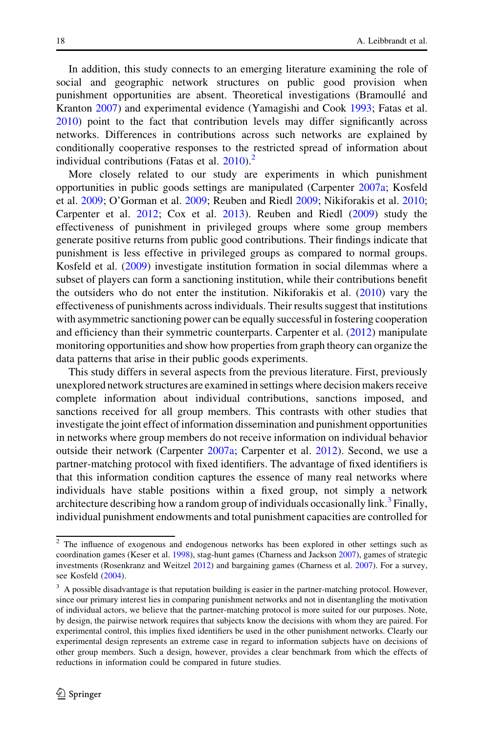In addition, this study connects to an emerging literature examining the role of social and geographic network structures on public good provision when punishment opportunities are absent. Theoretical investigations (Bramoullé and Kranton [2007\)](#page-20-0) and experimental evidence (Yamagishi and Cook [1993;](#page-22-0) Fatas et al. [2010\)](#page-21-0) point to the fact that contribution levels may differ significantly across networks. Differences in contributions across such networks are explained by conditionally cooperative responses to the restricted spread of information about individual contributions (Fatas et al.  $2010$ ).<sup>2</sup>

More closely related to our study are experiments in which punishment opportunities in public goods settings are manipulated (Carpenter [2007a](#page-20-0); Kosfeld et al. [2009;](#page-21-0) O'Gorman et al. [2009](#page-21-0); Reuben and Riedl [2009;](#page-22-0) Nikiforakis et al. [2010;](#page-21-0) Carpenter et al. [2012](#page-20-0); Cox et al. [2013](#page-21-0)). Reuben and Riedl [\(2009](#page-22-0)) study the effectiveness of punishment in privileged groups where some group members generate positive returns from public good contributions. Their findings indicate that punishment is less effective in privileged groups as compared to normal groups. Kosfeld et al. ([2009\)](#page-21-0) investigate institution formation in social dilemmas where a subset of players can form a sanctioning institution, while their contributions benefit the outsiders who do not enter the institution. Nikiforakis et al.  $(2010)$  $(2010)$  vary the effectiveness of punishments across individuals. Their results suggest that institutions with asymmetric sanctioning power can be equally successful in fostering cooperation and efficiency than their symmetric counterparts. Carpenter et al. ([2012\)](#page-20-0) manipulate monitoring opportunities and show how properties from graph theory can organize the data patterns that arise in their public goods experiments.

This study differs in several aspects from the previous literature. First, previously unexplored network structures are examined in settings where decision makers receive complete information about individual contributions, sanctions imposed, and sanctions received for all group members. This contrasts with other studies that investigate the joint effect of information dissemination and punishment opportunities in networks where group members do not receive information on individual behavior outside their network (Carpenter [2007a;](#page-20-0) Carpenter et al. [2012\)](#page-20-0). Second, we use a partner-matching protocol with fixed identifiers. The advantage of fixed identifiers is that this information condition captures the essence of many real networks where individuals have stable positions within a fixed group, not simply a network architecture describing how a random group of individuals occasionally link.<sup>3</sup> Finally, individual punishment endowments and total punishment capacities are controlled for

<sup>&</sup>lt;sup>2</sup> The influence of exogenous and endogenous networks has been explored in other settings such as coordination games (Keser et al. [1998](#page-21-0)), stag-hunt games (Charness and Jackson [2007\)](#page-21-0), games of strategic investments (Rosenkranz and Weitzel [2012\)](#page-22-0) and bargaining games (Charness et al. [2007\)](#page-20-0). For a survey, see Kosfeld [\(2004](#page-21-0)).

 $3\,$  A possible disadvantage is that reputation building is easier in the partner-matching protocol. However, since our primary interest lies in comparing punishment networks and not in disentangling the motivation of individual actors, we believe that the partner-matching protocol is more suited for our purposes. Note, by design, the pairwise network requires that subjects know the decisions with whom they are paired. For experimental control, this implies fixed identifiers be used in the other punishment networks. Clearly our experimental design represents an extreme case in regard to information subjects have on decisions of other group members. Such a design, however, provides a clear benchmark from which the effects of reductions in information could be compared in future studies.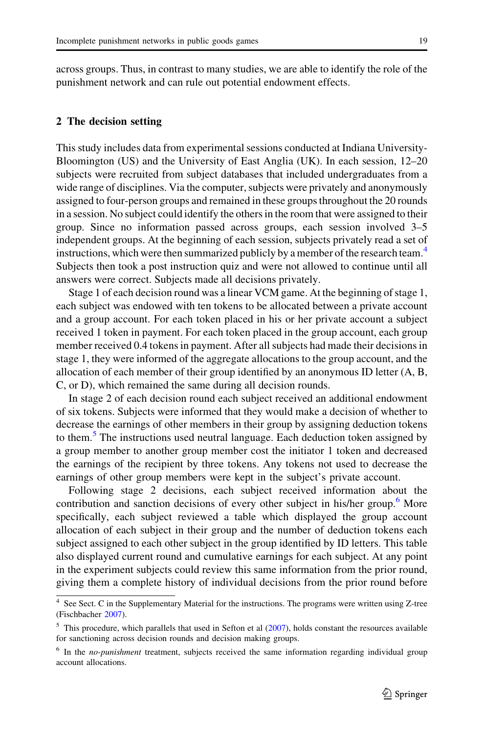<span id="page-4-0"></span>across groups. Thus, in contrast to many studies, we are able to identify the role of the punishment network and can rule out potential endowment effects.

#### 2 The decision setting

This study includes data from experimental sessions conducted at Indiana University-Bloomington (US) and the University of East Anglia (UK). In each session, 12–20 subjects were recruited from subject databases that included undergraduates from a wide range of disciplines. Via the computer, subjects were privately and anonymously assigned to four-person groups and remained in these groups throughout the 20 rounds in a session. No subject could identify the others in the room that were assigned to their group. Since no information passed across groups, each session involved 3–5 independent groups. At the beginning of each session, subjects privately read a set of instructions, which were then summarized publicly by a member of the research team.<sup>4</sup> Subjects then took a post instruction quiz and were not allowed to continue until all answers were correct. Subjects made all decisions privately.

Stage 1 of each decision round was a linear VCM game. At the beginning of stage 1, each subject was endowed with ten tokens to be allocated between a private account and a group account. For each token placed in his or her private account a subject received 1 token in payment. For each token placed in the group account, each group member received 0.4 tokens in payment. After all subjects had made their decisions in stage 1, they were informed of the aggregate allocations to the group account, and the allocation of each member of their group identified by an anonymous ID letter (A, B, C, or D), which remained the same during all decision rounds.

In stage 2 of each decision round each subject received an additional endowment of six tokens. Subjects were informed that they would make a decision of whether to decrease the earnings of other members in their group by assigning deduction tokens to them.<sup>5</sup> The instructions used neutral language. Each deduction token assigned by a group member to another group member cost the initiator 1 token and decreased the earnings of the recipient by three tokens. Any tokens not used to decrease the earnings of other group members were kept in the subject's private account.

Following stage 2 decisions, each subject received information about the contribution and sanction decisions of every other subject in his/her group.<sup>6</sup> More specifically, each subject reviewed a table which displayed the group account allocation of each subject in their group and the number of deduction tokens each subject assigned to each other subject in the group identified by ID letters. This table also displayed current round and cumulative earnings for each subject. At any point in the experiment subjects could review this same information from the prior round, giving them a complete history of individual decisions from the prior round before

<sup>4</sup> See Sect. C in the Supplementary Material for the instructions. The programs were written using Z-tree (Fischbacher [2007\)](#page-21-0).

 $<sup>5</sup>$  This procedure, which parallels that used in Sefton et al ([2007\)](#page-22-0), holds constant the resources available</sup> for sanctioning across decision rounds and decision making groups.

 $6$  In the *no-punishment* treatment, subjects received the same information regarding individual group account allocations.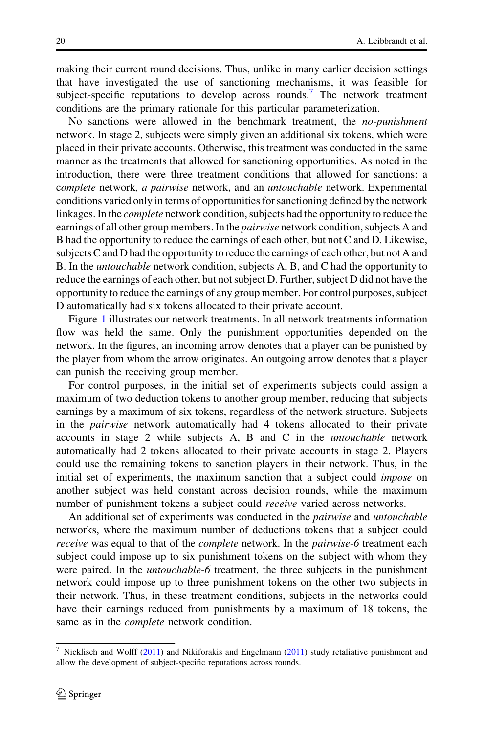making their current round decisions. Thus, unlike in many earlier decision settings that have investigated the use of sanctioning mechanisms, it was feasible for subject-specific reputations to develop across rounds.<sup>7</sup> The network treatment conditions are the primary rationale for this particular parameterization.

No sanctions were allowed in the benchmark treatment, the no-punishment network. In stage 2, subjects were simply given an additional six tokens, which were placed in their private accounts. Otherwise, this treatment was conducted in the same manner as the treatments that allowed for sanctioning opportunities. As noted in the introduction, there were three treatment conditions that allowed for sanctions: a complete network, a pairwise network, and an untouchable network. Experimental conditions varied only in terms of opportunities for sanctioning defined by the network linkages. In the complete network condition, subjects had the opportunity to reduce the earnings of all other group members. In the *pairwise* network condition, subjects A and B had the opportunity to reduce the earnings of each other, but not C and D. Likewise, subjects C and D had the opportunity to reduce the earnings of each other, but not A and B. In the untouchable network condition, subjects A, B, and C had the opportunity to reduce the earnings of each other, but not subject D. Further, subject D did not have the opportunity to reduce the earnings of any group member. For control purposes, subject D automatically had six tokens allocated to their private account.

Figure [1](#page-6-0) illustrates our network treatments. In all network treatments information flow was held the same. Only the punishment opportunities depended on the network. In the figures, an incoming arrow denotes that a player can be punished by the player from whom the arrow originates. An outgoing arrow denotes that a player can punish the receiving group member.

For control purposes, in the initial set of experiments subjects could assign a maximum of two deduction tokens to another group member, reducing that subjects earnings by a maximum of six tokens, regardless of the network structure. Subjects in the pairwise network automatically had 4 tokens allocated to their private accounts in stage 2 while subjects A, B and C in the untouchable network automatically had 2 tokens allocated to their private accounts in stage 2. Players could use the remaining tokens to sanction players in their network. Thus, in the initial set of experiments, the maximum sanction that a subject could *impose* on another subject was held constant across decision rounds, while the maximum number of punishment tokens a subject could *receive* varied across networks.

An additional set of experiments was conducted in the *pairwise* and *untouchable* networks, where the maximum number of deductions tokens that a subject could receive was equal to that of the *complete* network. In the *pairwise-6* treatment each subject could impose up to six punishment tokens on the subject with whom they were paired. In the *untouchable-6* treatment, the three subjects in the punishment network could impose up to three punishment tokens on the other two subjects in their network. Thus, in these treatment conditions, subjects in the networks could have their earnings reduced from punishments by a maximum of 18 tokens, the same as in the complete network condition.

<sup>&</sup>lt;sup>7</sup> Nicklisch and Wolff [\(2011\)](#page-21-0) and Nikiforakis and Engelmann ([2011\)](#page-21-0) study retaliative punishment and allow the development of subject-specific reputations across rounds.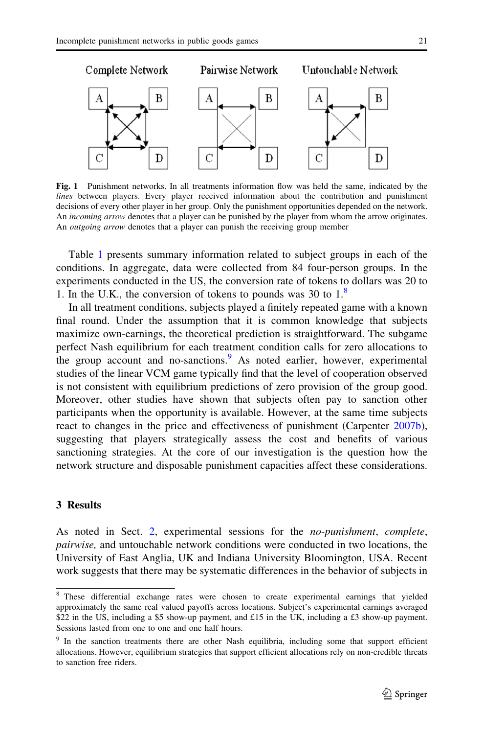<span id="page-6-0"></span>

Fig. 1 Punishment networks. In all treatments information flow was held the same, indicated by the lines between players. Every player received information about the contribution and punishment decisions of every other player in her group. Only the punishment opportunities depended on the network. An *incoming arrow* denotes that a player can be punished by the player from whom the arrow originates. An *outgoing arrow* denotes that a player can punish the receiving group member

Table [1](#page-7-0) presents summary information related to subject groups in each of the conditions. In aggregate, data were collected from 84 four-person groups. In the experiments conducted in the US, the conversion rate of tokens to dollars was 20 to 1. In the U.K., the conversion of tokens to pounds was 30 to  $1<sup>8</sup>$ 

In all treatment conditions, subjects played a finitely repeated game with a known final round. Under the assumption that it is common knowledge that subjects maximize own-earnings, the theoretical prediction is straightforward. The subgame perfect Nash equilibrium for each treatment condition calls for zero allocations to the group account and no-sanctions.<sup>9</sup> As noted earlier, however, experimental studies of the linear VCM game typically find that the level of cooperation observed is not consistent with equilibrium predictions of zero provision of the group good. Moreover, other studies have shown that subjects often pay to sanction other participants when the opportunity is available. However, at the same time subjects react to changes in the price and effectiveness of punishment (Carpenter [2007b\)](#page-20-0), suggesting that players strategically assess the cost and benefits of various sanctioning strategies. At the core of our investigation is the question how the network structure and disposable punishment capacities affect these considerations.

#### 3 Results

As noted in Sect. [2,](#page-4-0) experimental sessions for the *no-punishment*, *complete*, pairwise, and untouchable network conditions were conducted in two locations, the University of East Anglia, UK and Indiana University Bloomington, USA. Recent work suggests that there may be systematic differences in the behavior of subjects in

<sup>8</sup> These differential exchange rates were chosen to create experimental earnings that yielded approximately the same real valued payoffs across locations. Subject's experimental earnings averaged \$22 in the US, including a \$5 show-up payment, and £15 in the UK, including a £3 show-up payment. Sessions lasted from one to one and one half hours.

<sup>&</sup>lt;sup>9</sup> In the sanction treatments there are other Nash equilibria, including some that support efficient allocations. However, equilibrium strategies that support efficient allocations rely on non-credible threats to sanction free riders.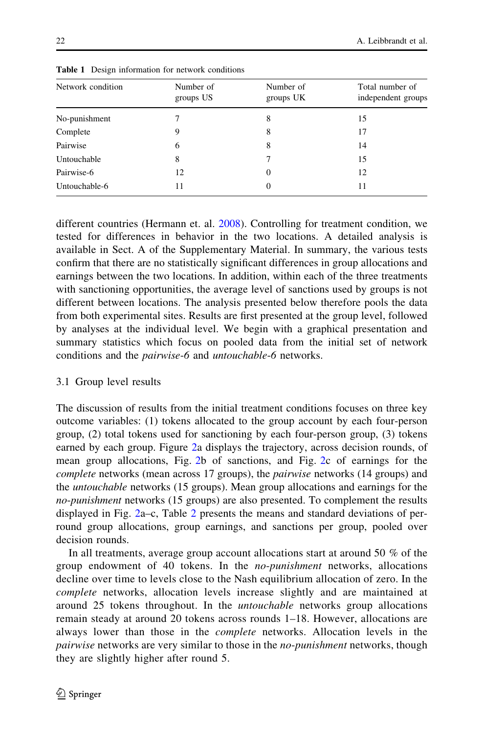| Network condition<br>Number of<br>groups US | Number of<br>groups UK | Total number of<br>independent groups |
|---------------------------------------------|------------------------|---------------------------------------|
| No-punishment<br>8                          |                        | 15                                    |
| Complete<br>9<br>8                          |                        | 17                                    |
| Pairwise<br>8<br>6                          |                        | 14                                    |
| Untouchable<br>8<br>7                       |                        | 15                                    |
| Pairwise-6<br>12<br>$\overline{0}$          |                        | 12                                    |
| Untouchable-6<br>11<br>$\Omega$             |                        | 11                                    |

<span id="page-7-0"></span>Table 1 Design information for network conditions

different countries (Hermann et. al. [2008\)](#page-21-0). Controlling for treatment condition, we tested for differences in behavior in the two locations. A detailed analysis is available in Sect. A of the Supplementary Material. In summary, the various tests confirm that there are no statistically significant differences in group allocations and earnings between the two locations. In addition, within each of the three treatments with sanctioning opportunities, the average level of sanctions used by groups is not different between locations. The analysis presented below therefore pools the data from both experimental sites. Results are first presented at the group level, followed by analyses at the individual level. We begin with a graphical presentation and summary statistics which focus on pooled data from the initial set of network conditions and the pairwise-6 and untouchable-6 networks.

### 3.1 Group level results

The discussion of results from the initial treatment conditions focuses on three key outcome variables: (1) tokens allocated to the group account by each four-person group, (2) total tokens used for sanctioning by each four-person group, (3) tokens earned by each group. Figure [2](#page-8-0)a displays the trajectory, across decision rounds, of mean group allocations, Fig. [2](#page-8-0)b of sanctions, and Fig. [2c](#page-8-0) of earnings for the complete networks (mean across 17 groups), the pairwise networks (14 groups) and the untouchable networks (15 groups). Mean group allocations and earnings for the no-punishment networks (15 groups) are also presented. To complement the results displayed in Fig. [2a](#page-8-0)–c, Table [2](#page-9-0) presents the means and standard deviations of perround group allocations, group earnings, and sanctions per group, pooled over decision rounds.

In all treatments, average group account allocations start at around 50 % of the group endowment of 40 tokens. In the no-punishment networks, allocations decline over time to levels close to the Nash equilibrium allocation of zero. In the complete networks, allocation levels increase slightly and are maintained at around 25 tokens throughout. In the untouchable networks group allocations remain steady at around 20 tokens across rounds 1–18. However, allocations are always lower than those in the complete networks. Allocation levels in the pairwise networks are very similar to those in the *no-punishment* networks, though they are slightly higher after round 5.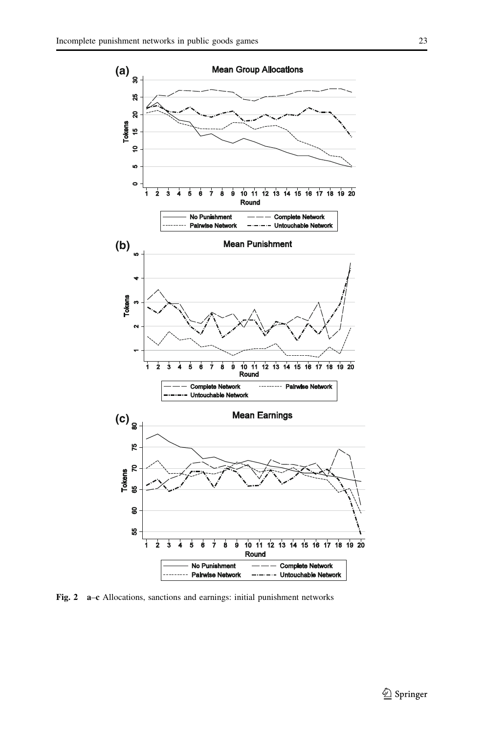<span id="page-8-0"></span>

Fig. 2 a–c Allocations, sanctions and earnings: initial punishment networks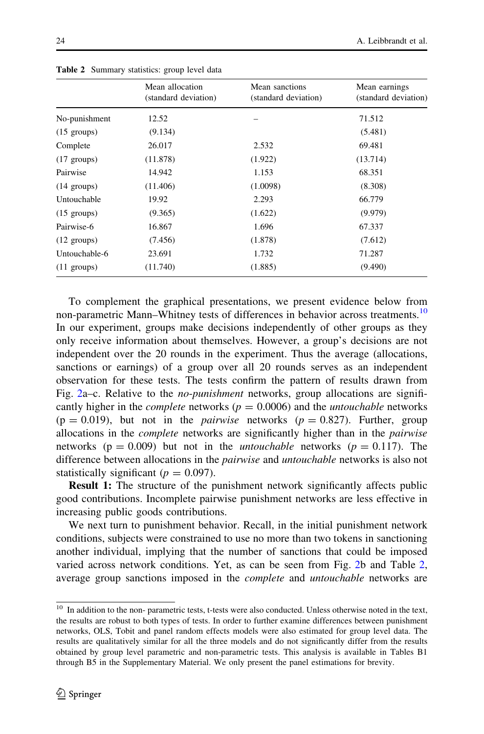|                       | Mean allocation<br>(standard deviation) | Mean sanctions<br>(standard deviation) | Mean earnings<br>(standard deviation) |
|-----------------------|-----------------------------------------|----------------------------------------|---------------------------------------|
| No-punishment         | 12.52                                   |                                        | 71.512                                |
| $(15 \text{ groups})$ | (9.134)                                 |                                        | (5.481)                               |
| Complete              | 26.017                                  | 2.532                                  | 69.481                                |
| $(17 \text{ groups})$ | (11.878)                                | (1.922)                                | (13.714)                              |
| Pairwise              | 14.942                                  | 1.153                                  | 68.351                                |
| $(14 \text{ groups})$ | (11.406)                                | (1.0098)                               | (8.308)                               |
| Untouchable           | 19.92                                   | 2.293                                  | 66.779                                |
| $(15 \text{ groups})$ | (9.365)                                 | (1.622)                                | (9.979)                               |
| Pairwise-6            | 16.867                                  | 1.696                                  | 67.337                                |
| $(12 \text{ groups})$ | (7.456)                                 | (1.878)                                | (7.612)                               |
| Untouchable-6         | 23.691                                  | 1.732                                  | 71.287                                |
| $(11 \text{ groups})$ | (11.740)                                | (1.885)                                | (9.490)                               |

<span id="page-9-0"></span>Table 2 Summary statistics: group level data

To complement the graphical presentations, we present evidence below from non-parametric Mann–Whitney tests of differences in behavior across treatments.<sup>10</sup> In our experiment, groups make decisions independently of other groups as they only receive information about themselves. However, a group's decisions are not independent over the 20 rounds in the experiment. Thus the average (allocations, sanctions or earnings) of a group over all 20 rounds serves as an independent observation for these tests. The tests confirm the pattern of results drawn from Fig. [2](#page-8-0)a–c. Relative to the *no-punishment* networks, group allocations are significantly higher in the *complete* networks ( $p = 0.0006$ ) and the *untouchable* networks  $(p = 0.019)$ , but not in the *pairwise* networks  $(p = 0.827)$ . Further, group allocations in the *complete* networks are significantly higher than in the *pairwise* networks ( $p = 0.009$ ) but not in the *untouchable* networks ( $p = 0.117$ ). The difference between allocations in the *pairwise* and *untouchable* networks is also not statistically significant ( $p = 0.097$ ).

Result 1: The structure of the punishment network significantly affects public good contributions. Incomplete pairwise punishment networks are less effective in increasing public goods contributions.

We next turn to punishment behavior. Recall, in the initial punishment network conditions, subjects were constrained to use no more than two tokens in sanctioning another individual, implying that the number of sanctions that could be imposed varied across network conditions. Yet, as can be seen from Fig. [2](#page-8-0)b and Table 2, average group sanctions imposed in the complete and untouchable networks are

<sup>&</sup>lt;sup>10</sup> In addition to the non- parametric tests, t-tests were also conducted. Unless otherwise noted in the text, the results are robust to both types of tests. In order to further examine differences between punishment networks, OLS, Tobit and panel random effects models were also estimated for group level data. The results are qualitatively similar for all the three models and do not significantly differ from the results obtained by group level parametric and non-parametric tests. This analysis is available in Tables B1 through B5 in the Supplementary Material. We only present the panel estimations for brevity.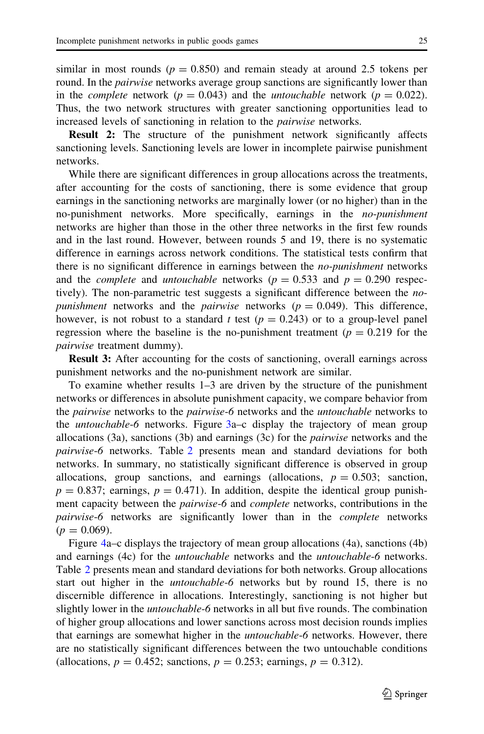similar in most rounds ( $p = 0.850$ ) and remain steady at around 2.5 tokens per round. In the *pairwise* networks average group sanctions are significantly lower than in the *complete* network ( $p = 0.043$ ) and the *untouchable* network ( $p = 0.022$ ). Thus, the two network structures with greater sanctioning opportunities lead to increased levels of sanctioning in relation to the pairwise networks.

Result 2: The structure of the punishment network significantly affects sanctioning levels. Sanctioning levels are lower in incomplete pairwise punishment networks.

While there are significant differences in group allocations across the treatments, after accounting for the costs of sanctioning, there is some evidence that group earnings in the sanctioning networks are marginally lower (or no higher) than in the no-punishment networks. More specifically, earnings in the no-punishment networks are higher than those in the other three networks in the first few rounds and in the last round. However, between rounds 5 and 19, there is no systematic difference in earnings across network conditions. The statistical tests confirm that there is no significant difference in earnings between the *no-punishment* networks and the *complete* and *untouchable* networks ( $p = 0.533$  and  $p = 0.290$  respectively). The non-parametric test suggests a significant difference between the *nopunishment* networks and the *pairwise* networks ( $p = 0.049$ ). This difference, however, is not robust to a standard t test ( $p = 0.243$ ) or to a group-level panel regression where the baseline is the no-punishment treatment ( $p = 0.219$  for the pairwise treatment dummy).

Result 3: After accounting for the costs of sanctioning, overall earnings across punishment networks and the no-punishment network are similar.

To examine whether results 1–3 are driven by the structure of the punishment networks or differences in absolute punishment capacity, we compare behavior from the *pairwise* networks to the *pairwise-6* networks and the *untouchable* networks to the *untouchable-6* networks. Figure [3](#page-11-0)a–c display the trajectory of mean group allocations  $(3a)$ , sanctions  $(3b)$  and earnings  $(3c)$  for the *pairwise* networks and the pairwise-6 networks. Table [2](#page-9-0) presents mean and standard deviations for both networks. In summary, no statistically significant difference is observed in group allocations, group sanctions, and earnings (allocations,  $p = 0.503$ ; sanction,  $p = 0.837$ ; earnings,  $p = 0.471$ ). In addition, despite the identical group punishment capacity between the pairwise-6 and complete networks, contributions in the pairwise-6 networks are significantly lower than in the complete networks  $(p = 0.069)$ .

Figure [4a](#page-12-0)–c displays the trajectory of mean group allocations (4a), sanctions (4b) and earnings (4c) for the untouchable networks and the untouchable-6 networks. Table [2](#page-9-0) presents mean and standard deviations for both networks. Group allocations start out higher in the *untouchable-6* networks but by round 15, there is no discernible difference in allocations. Interestingly, sanctioning is not higher but slightly lower in the *untouchable-6* networks in all but five rounds. The combination of higher group allocations and lower sanctions across most decision rounds implies that earnings are somewhat higher in the *untouchable-6* networks. However, there are no statistically significant differences between the two untouchable conditions (allocations,  $p = 0.452$ ; sanctions,  $p = 0.253$ ; earnings,  $p = 0.312$ ).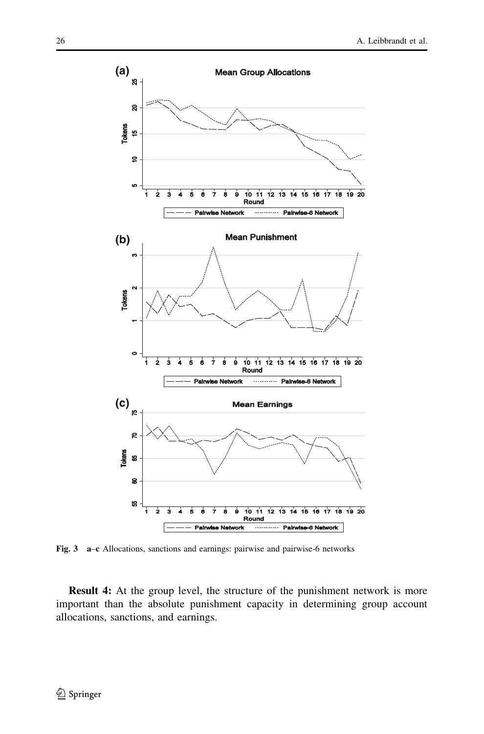<span id="page-11-0"></span>

Fig. 3 a–c Allocations, sanctions and earnings: pairwise and pairwise-6 networks

Result 4: At the group level, the structure of the punishment network is more important than the absolute punishment capacity in determining group account allocations, sanctions, and earnings.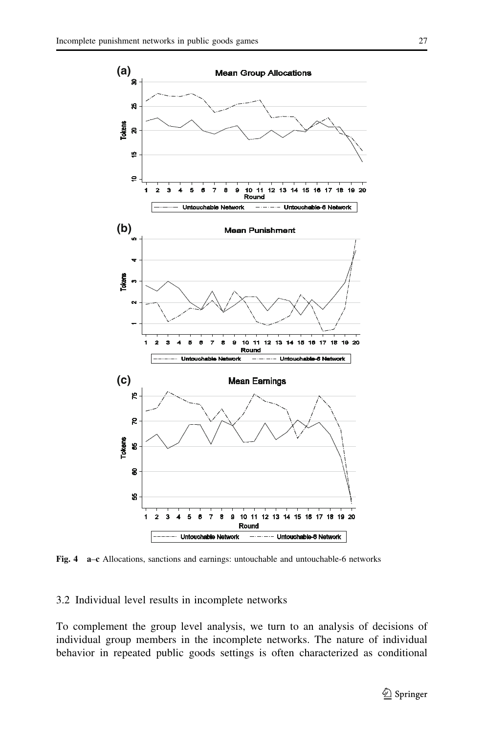<span id="page-12-0"></span>

Fig. 4 a–c Allocations, sanctions and earnings: untouchable and untouchable-6 networks

3.2 Individual level results in incomplete networks

To complement the group level analysis, we turn to an analysis of decisions of individual group members in the incomplete networks. The nature of individual behavior in repeated public goods settings is often characterized as conditional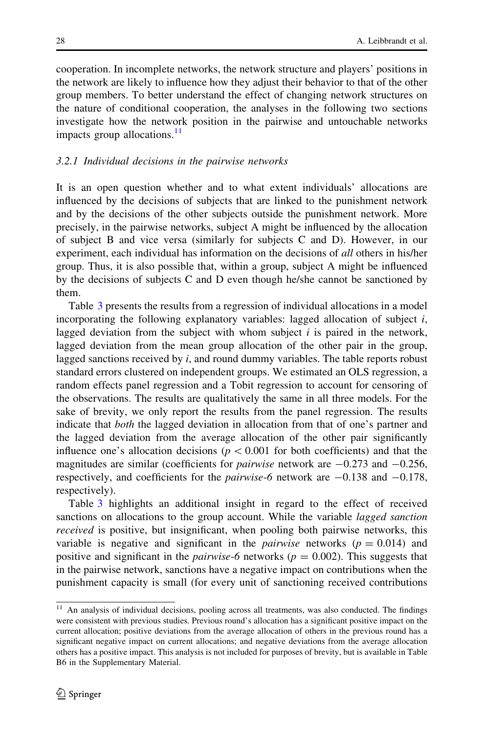cooperation. In incomplete networks, the network structure and players' positions in the network are likely to influence how they adjust their behavior to that of the other group members. To better understand the effect of changing network structures on the nature of conditional cooperation, the analyses in the following two sections investigate how the network position in the pairwise and untouchable networks impacts group allocations.<sup>11</sup>

#### 3.2.1 Individual decisions in the pairwise networks

It is an open question whether and to what extent individuals' allocations are influenced by the decisions of subjects that are linked to the punishment network and by the decisions of the other subjects outside the punishment network. More precisely, in the pairwise networks, subject A might be influenced by the allocation of subject B and vice versa (similarly for subjects C and D). However, in our experiment, each individual has information on the decisions of *all* others in his/her group. Thus, it is also possible that, within a group, subject A might be influenced by the decisions of subjects C and D even though he/she cannot be sanctioned by them.

Table [3](#page-14-0) presents the results from a regression of individual allocations in a model incorporating the following explanatory variables: lagged allocation of subject i, lagged deviation from the subject with whom subject  $i$  is paired in the network, lagged deviation from the mean group allocation of the other pair in the group, lagged sanctions received by  $i$ , and round dummy variables. The table reports robust standard errors clustered on independent groups. We estimated an OLS regression, a random effects panel regression and a Tobit regression to account for censoring of the observations. The results are qualitatively the same in all three models. For the sake of brevity, we only report the results from the panel regression. The results indicate that both the lagged deviation in allocation from that of one's partner and the lagged deviation from the average allocation of the other pair significantly influence one's allocation decisions ( $p<0.001$  for both coefficients) and that the magnitudes are similar (coefficients for *pairwise* network are  $-0.273$  and  $-0.256$ , respectively, and coefficients for the *pairwise*-6 network are  $-0.138$  and  $-0.178$ , respectively).

Table [3](#page-14-0) highlights an additional insight in regard to the effect of received sanctions on allocations to the group account. While the variable *lagged sanction* received is positive, but insignificant, when pooling both pairwise networks, this variable is negative and significant in the *pairwise* networks ( $p = 0.014$ ) and positive and significant in the *pairwise*-6 networks ( $p = 0.002$ ). This suggests that in the pairwise network, sanctions have a negative impact on contributions when the punishment capacity is small (for every unit of sanctioning received contributions

<sup>&</sup>lt;sup>11</sup> An analysis of individual decisions, pooling across all treatments, was also conducted. The findings were consistent with previous studies. Previous round's allocation has a significant positive impact on the current allocation; positive deviations from the average allocation of others in the previous round has a significant negative impact on current allocations; and negative deviations from the average allocation others has a positive impact. This analysis is not included for purposes of brevity, but is available in Table B6 in the Supplementary Material.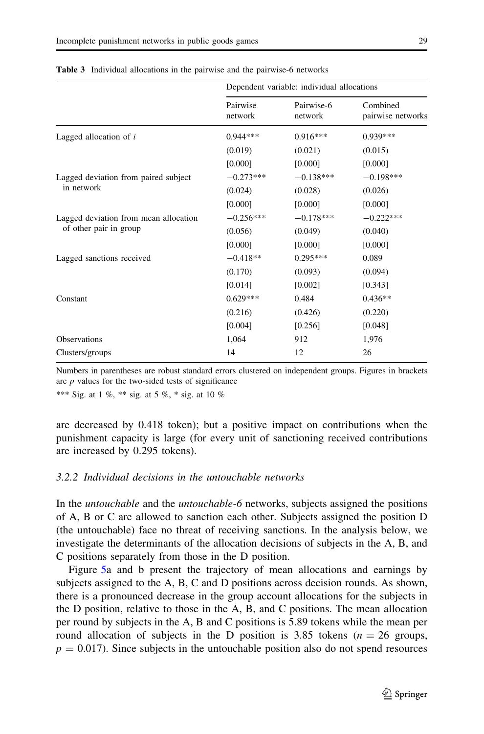|                                       | Dependent variable: individual allocations |                       |                               |
|---------------------------------------|--------------------------------------------|-----------------------|-------------------------------|
|                                       | Pairwise<br>network                        | Pairwise-6<br>network | Combined<br>pairwise networks |
| Lagged allocation of i                | $0.944***$                                 | $0.916***$            | 0.939***                      |
|                                       | (0.019)                                    | (0.021)               | (0.015)                       |
|                                       | [0.000]                                    | [0.000]               | [0.000]                       |
| Lagged deviation from paired subject  | $-0.273***$                                | $-0.138***$           | $-0.198***$                   |
| in network                            | (0.024)                                    | (0.028)               | (0.026)                       |
|                                       | [0.000]                                    | [0.000]               | [0.000]                       |
| Lagged deviation from mean allocation | $-0.256***$                                | $-0.178***$           | $-0.222***$                   |
| of other pair in group                | (0.056)                                    | (0.049)               | (0.040)                       |
|                                       | [0.000]                                    | [0.000]               | [0.000]                       |
| Lagged sanctions received             | $-0.418**$                                 | $0.295***$            | 0.089                         |
|                                       | (0.170)                                    | (0.093)               | (0.094)                       |
|                                       | [0.014]                                    | [0.002]               | [0.343]                       |
| Constant                              | $0.629***$                                 | 0.484                 | $0.436**$                     |
|                                       | (0.216)                                    | (0.426)               | (0.220)                       |
|                                       | [0.004]                                    | [0.256]               | [0.048]                       |
| <b>Observations</b>                   | 1,064                                      | 912                   | 1,976                         |
| Clusters/groups                       | 14                                         | 12                    | 26                            |

<span id="page-14-0"></span>Table 3 Individual allocations in the pairwise and the pairwise-6 networks

Numbers in parentheses are robust standard errors clustered on independent groups. Figures in brackets are  $p$  values for the two-sided tests of significance

\*\*\* Sig. at 1 %, \*\* sig. at 5 %, \* sig. at 10 %

are decreased by 0.418 token); but a positive impact on contributions when the punishment capacity is large (for every unit of sanctioning received contributions are increased by 0.295 tokens).

#### 3.2.2 Individual decisions in the untouchable networks

In the *untouchable* and the *untouchable-6* networks, subjects assigned the positions of A, B or C are allowed to sanction each other. Subjects assigned the position D (the untouchable) face no threat of receiving sanctions. In the analysis below, we investigate the determinants of the allocation decisions of subjects in the A, B, and C positions separately from those in the D position.

Figure [5a](#page-16-0) and b present the trajectory of mean allocations and earnings by subjects assigned to the A, B, C and D positions across decision rounds. As shown, there is a pronounced decrease in the group account allocations for the subjects in the D position, relative to those in the A, B, and C positions. The mean allocation per round by subjects in the A, B and C positions is 5.89 tokens while the mean per round allocation of subjects in the D position is 3.85 tokens ( $n = 26$  groups,  $p = 0.017$ ). Since subjects in the untouchable position also do not spend resources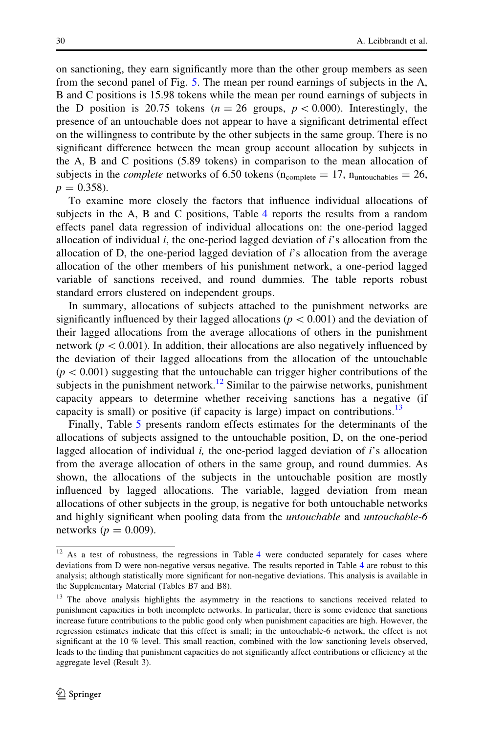on sanctioning, they earn significantly more than the other group members as seen from the second panel of Fig. [5](#page-16-0). The mean per round earnings of subjects in the A, B and C positions is 15.98 tokens while the mean per round earnings of subjects in the D position is 20.75 tokens ( $n = 26$  groups,  $p < 0.000$ ). Interestingly, the presence of an untouchable does not appear to have a significant detrimental effect on the willingness to contribute by the other subjects in the same group. There is no significant difference between the mean group account allocation by subjects in the A, B and C positions (5.89 tokens) in comparison to the mean allocation of subjects in the *complete* networks of 6.50 tokens ( $n_{complete} = 17$ ,  $n_{untouchables} = 26$ ,  $p = 0.358$ .

To examine more closely the factors that influence individual allocations of subjects in the A, B and C positions, Table [4](#page-17-0) reports the results from a random effects panel data regression of individual allocations on: the one-period lagged allocation of individual  $i$ , the one-period lagged deviation of  $i$ 's allocation from the allocation of D, the one-period lagged deviation of  $i$ 's allocation from the average allocation of the other members of his punishment network, a one-period lagged variable of sanctions received, and round dummies. The table reports robust standard errors clustered on independent groups.

In summary, allocations of subjects attached to the punishment networks are significantly influenced by their lagged allocations ( $p<0.001$ ) and the deviation of their lagged allocations from the average allocations of others in the punishment network ( $p<0.001$ ). In addition, their allocations are also negatively influenced by the deviation of their lagged allocations from the allocation of the untouchable  $(p<0.001)$  suggesting that the untouchable can trigger higher contributions of the subjects in the punishment network.<sup>12</sup> Similar to the pairwise networks, punishment capacity appears to determine whether receiving sanctions has a negative (if capacity is small) or positive (if capacity is large) impact on contributions.<sup>13</sup>

Finally, Table [5](#page-18-0) presents random effects estimates for the determinants of the allocations of subjects assigned to the untouchable position, D, on the one-period lagged allocation of individual  $i$ , the one-period lagged deviation of  $i$ 's allocation from the average allocation of others in the same group, and round dummies. As shown, the allocations of the subjects in the untouchable position are mostly influenced by lagged allocations. The variable, lagged deviation from mean allocations of other subjects in the group, is negative for both untouchable networks and highly significant when pooling data from the untouchable and untouchable-6 networks ( $p = 0.009$ ).

<sup>&</sup>lt;sup>12</sup> As a test of robustness, the regressions in Table [4](#page-17-0) were conducted separately for cases where deviations from D were non-negative versus negative. The results reported in Table [4](#page-17-0) are robust to this analysis; although statistically more significant for non-negative deviations. This analysis is available in the Supplementary Material (Tables B7 and B8).

<sup>&</sup>lt;sup>13</sup> The above analysis highlights the asymmetry in the reactions to sanctions received related to punishment capacities in both incomplete networks. In particular, there is some evidence that sanctions increase future contributions to the public good only when punishment capacities are high. However, the regression estimates indicate that this effect is small; in the untouchable-6 network, the effect is not significant at the 10 % level. This small reaction, combined with the low sanctioning levels observed, leads to the finding that punishment capacities do not significantly affect contributions or efficiency at the aggregate level (Result 3).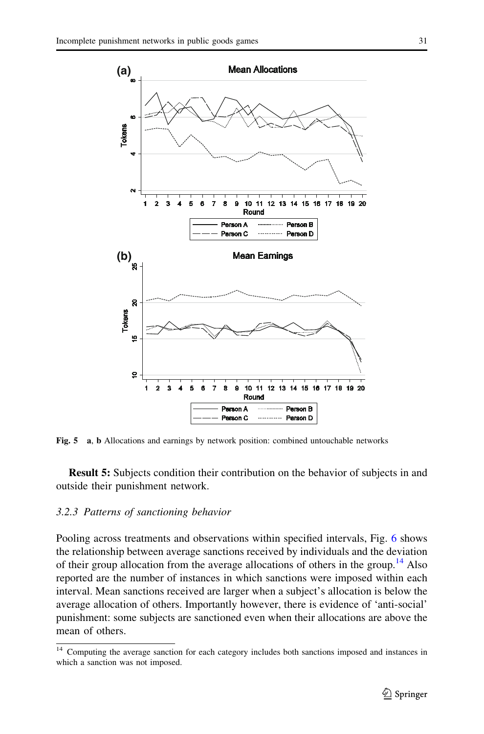<span id="page-16-0"></span>

Fig. 5 a, b Allocations and earnings by network position: combined untouchable networks

Result 5: Subjects condition their contribution on the behavior of subjects in and outside their punishment network.

#### 3.2.3 Patterns of sanctioning behavior

Pooling across treatments and observations within specified intervals, Fig. [6](#page-18-0) shows the relationship between average sanctions received by individuals and the deviation of their group allocation from the average allocations of others in the group.<sup>14</sup> Also reported are the number of instances in which sanctions were imposed within each interval. Mean sanctions received are larger when a subject's allocation is below the average allocation of others. Importantly however, there is evidence of 'anti-social' punishment: some subjects are sanctioned even when their allocations are above the mean of others.

<sup>14</sup> Computing the average sanction for each category includes both sanctions imposed and instances in which a sanction was not imposed.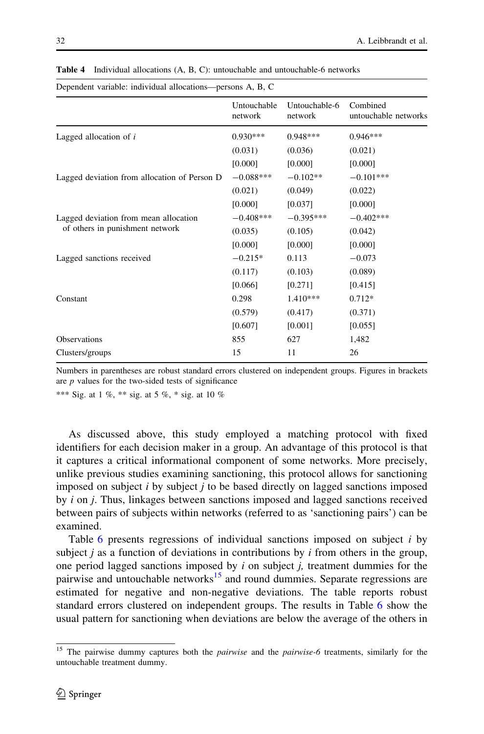<span id="page-17-0"></span>

| 32 | A. Leibbrandt et al.<br>. |
|----|---------------------------|
|    |                           |

| Dependent variable: individual allocations-persons A, B, C |                        |                          |                                  |
|------------------------------------------------------------|------------------------|--------------------------|----------------------------------|
|                                                            | Untouchable<br>network | Untouchable-6<br>network | Combined<br>untouchable networks |
| Lagged allocation of $i$                                   | $0.930***$             | $0.948***$               | $0.946***$                       |
|                                                            | (0.031)                | (0.036)                  | (0.021)                          |
|                                                            | [0.000]                | [0.000]                  | [0.000]                          |
| Lagged deviation from allocation of Person D               | $-0.088***$            | $-0.102**$               | $-0.101***$                      |
|                                                            | (0.021)                | (0.049)                  | (0.022)                          |
|                                                            | [0.000]                | [0.037]                  | [0.000]                          |
| Lagged deviation from mean allocation                      | $-0.408***$            | $-0.395***$              | $-0.402***$                      |
| of others in punishment network                            | (0.035)                | (0.105)                  | (0.042)                          |
|                                                            | [0.000]                | [0.000]                  | [0.000]                          |
| Lagged sanctions received                                  | $-0.215*$              | 0.113                    | $-0.073$                         |
|                                                            | (0.117)                | (0.103)                  | (0.089)                          |
|                                                            | [0.066]                | [0.271]                  | [0.415]                          |
| Constant                                                   | 0.298                  | 1.410***                 | $0.712*$                         |
|                                                            | (0.579)                | (0.417)                  | (0.371)                          |
|                                                            | [0.607]                | [0.001]                  | [0.055]                          |
| Observations                                               | 855                    | 627                      | 1,482                            |
| Clusters/groups                                            | 15                     | 11                       | 26                               |
|                                                            |                        |                          |                                  |

Table 4 Individual allocations (A, B, C): untouchable and untouchable-6 networks

Numbers in parentheses are robust standard errors clustered on independent groups. Figures in brackets are  $p$  values for the two-sided tests of significance

\*\*\* Sig. at 1 %, \*\* sig. at 5 %, \* sig. at 10 %

As discussed above, this study employed a matching protocol with fixed identifiers for each decision maker in a group. An advantage of this protocol is that it captures a critical informational component of some networks. More precisely, unlike previous studies examining sanctioning, this protocol allows for sanctioning imposed on subject  $i$  by subject  $j$  to be based directly on lagged sanctions imposed by  $i$  on  $j$ . Thus, linkages between sanctions imposed and lagged sanctions received between pairs of subjects within networks (referred to as 'sanctioning pairs') can be examined.

Table  $6$  presents regressions of individual sanctions imposed on subject  $i$  by subject  $j$  as a function of deviations in contributions by  $i$  from others in the group, one period lagged sanctions imposed by  $i$  on subject  $j$ , treatment dummies for the pairwise and untouchable networks<sup>15</sup> and round dummies. Separate regressions are estimated for negative and non-negative deviations. The table reports robust standard errors clustered on independent groups. The results in Table [6](#page-19-0) show the usual pattern for sanctioning when deviations are below the average of the others in

<sup>&</sup>lt;sup>15</sup> The pairwise dummy captures both the *pairwise* and the *pairwise-6* treatments, similarly for the untouchable treatment dummy.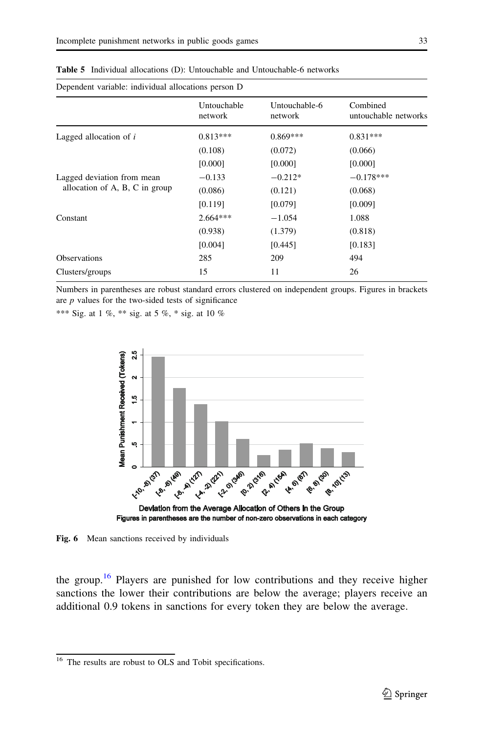| Dependent variable: individual allocations person D          |                        |                          |                                  |
|--------------------------------------------------------------|------------------------|--------------------------|----------------------------------|
|                                                              | Untouchable<br>network | Untouchable-6<br>network | Combined<br>untouchable networks |
| Lagged allocation of $i$                                     | $0.813***$             | $0.869***$               | $0.831***$                       |
|                                                              | (0.108)                | (0.072)                  | (0.066)                          |
|                                                              | [0.000]                | [0.000]                  | [0.000]                          |
| Lagged deviation from mean<br>allocation of A, B, C in group | $-0.133$               | $-0.212*$                | $-0.178***$                      |
|                                                              | (0.086)                | (0.121)                  | (0.068)                          |
|                                                              | [0.119]                | [0.079]                  | [0.009]                          |
| Constant                                                     | $2.664***$             | $-1.054$                 | 1.088                            |
|                                                              | (0.938)                | (1.379)                  | (0.818)                          |
|                                                              | [0.004]                | [0.445]                  | [0.183]                          |
| <b>Observations</b>                                          | 285                    | 209                      | 494                              |
| Clusters/groups                                              | 15                     | 11                       | 26                               |

<span id="page-18-0"></span>Table 5 Individual allocations (D): Untouchable and Untouchable-6 networks

Numbers in parentheses are robust standard errors clustered on independent groups. Figures in brackets are  $p$  values for the two-sided tests of significance

\*\*\* Sig. at 1 %, \*\* sig. at 5 %, \* sig. at 10 %



Fig. 6 Mean sanctions received by individuals

the group.<sup>16</sup> Players are punished for low contributions and they receive higher sanctions the lower their contributions are below the average; players receive an additional 0.9 tokens in sanctions for every token they are below the average.

<sup>&</sup>lt;sup>16</sup> The results are robust to OLS and Tobit specifications.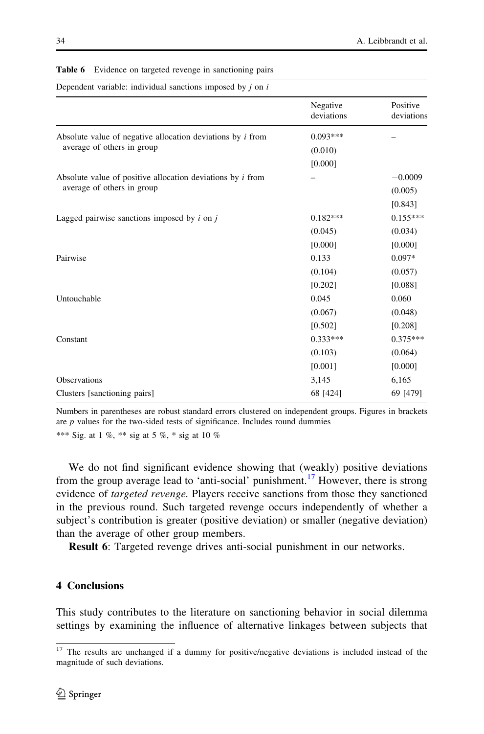| Dependent variable: individual sanctions imposed by $i$ on $i$    |                        |                        |  |
|-------------------------------------------------------------------|------------------------|------------------------|--|
|                                                                   | Negative<br>deviations | Positive<br>deviations |  |
| Absolute value of negative allocation deviations by <i>i</i> from | $0.093***$             |                        |  |
| average of others in group                                        | (0.010)                |                        |  |
|                                                                   | [0.000]                |                        |  |
| Absolute value of positive allocation deviations by $i$ from      |                        | $-0.0009$              |  |
| average of others in group                                        |                        | (0.005)                |  |
|                                                                   |                        | [0.843]                |  |
| Lagged pairwise sanctions imposed by $i$ on $j$                   | $0.182***$             | $0.155***$             |  |
|                                                                   | (0.045)                | (0.034)                |  |
|                                                                   | [0.000]                | [0.000]                |  |
| Pairwise                                                          | 0.133                  | $0.097*$               |  |
|                                                                   | (0.104)                | (0.057)                |  |
|                                                                   | [0.202]                | [0.088]                |  |
| Untouchable                                                       | 0.045                  | 0.060                  |  |
|                                                                   | (0.067)                | (0.048)                |  |
|                                                                   | [0.502]                | [0.208]                |  |
| Constant                                                          | $0.333***$             | $0.375***$             |  |
|                                                                   | (0.103)                | (0.064)                |  |
|                                                                   | [0.001]                | [0.000]                |  |
| Observations                                                      | 3,145                  | 6,165                  |  |
| Clusters [sanctioning pairs]                                      | 68 [424]               | 69 [479]               |  |
|                                                                   |                        |                        |  |

<span id="page-19-0"></span>Table 6 Evidence on targeted revenge in sanctioning pairs

Numbers in parentheses are robust standard errors clustered on independent groups. Figures in brackets are  $p$  values for the two-sided tests of significance. Includes round dummies

\*\*\* Sig. at 1 %, \*\* sig at 5 %, \* sig at 10 %

We do not find significant evidence showing that (weakly) positive deviations from the group average lead to 'anti-social' punishment.<sup>17</sup> However, there is strong evidence of *targeted revenge*. Players receive sanctions from those they sanctioned in the previous round. Such targeted revenge occurs independently of whether a subject's contribution is greater (positive deviation) or smaller (negative deviation) than the average of other group members.

Result 6: Targeted revenge drives anti-social punishment in our networks.

## 4 Conclusions

This study contributes to the literature on sanctioning behavior in social dilemma settings by examining the influence of alternative linkages between subjects that

 $17$  The results are unchanged if a dummy for positive/negative deviations is included instead of the magnitude of such deviations.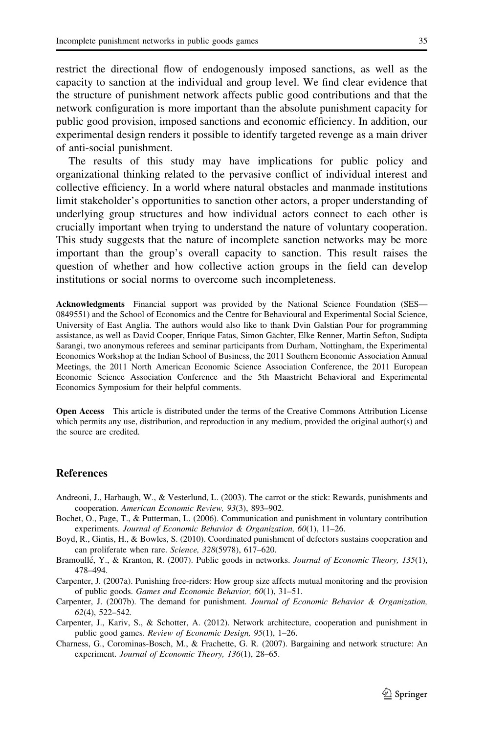<span id="page-20-0"></span>restrict the directional flow of endogenously imposed sanctions, as well as the capacity to sanction at the individual and group level. We find clear evidence that the structure of punishment network affects public good contributions and that the network configuration is more important than the absolute punishment capacity for public good provision, imposed sanctions and economic efficiency. In addition, our experimental design renders it possible to identify targeted revenge as a main driver of anti-social punishment.

The results of this study may have implications for public policy and organizational thinking related to the pervasive conflict of individual interest and collective efficiency. In a world where natural obstacles and manmade institutions limit stakeholder's opportunities to sanction other actors, a proper understanding of underlying group structures and how individual actors connect to each other is crucially important when trying to understand the nature of voluntary cooperation. This study suggests that the nature of incomplete sanction networks may be more important than the group's overall capacity to sanction. This result raises the question of whether and how collective action groups in the field can develop institutions or social norms to overcome such incompleteness.

Acknowledgments Financial support was provided by the National Science Foundation (SES— 0849551) and the School of Economics and the Centre for Behavioural and Experimental Social Science, University of East Anglia. The authors would also like to thank Dvin Galstian Pour for programming assistance, as well as David Cooper, Enrique Fatas, Simon Gächter, Elke Renner, Martin Sefton, Sudipta Sarangi, two anonymous referees and seminar participants from Durham, Nottingham, the Experimental Economics Workshop at the Indian School of Business, the 2011 Southern Economic Association Annual Meetings, the 2011 North American Economic Science Association Conference, the 2011 European Economic Science Association Conference and the 5th Maastricht Behavioral and Experimental Economics Symposium for their helpful comments.

Open Access This article is distributed under the terms of the Creative Commons Attribution License which permits any use, distribution, and reproduction in any medium, provided the original author(s) and the source are credited.

#### References

- Andreoni, J., Harbaugh, W., & Vesterlund, L. (2003). The carrot or the stick: Rewards, punishments and cooperation. American Economic Review, 93(3), 893–902.
- Bochet, O., Page, T., & Putterman, L. (2006). Communication and punishment in voluntary contribution experiments. Journal of Economic Behavior & Organization, 60(1), 11–26.
- Boyd, R., Gintis, H., & Bowles, S. (2010). Coordinated punishment of defectors sustains cooperation and can proliferate when rare. Science, 328(5978), 617–620.
- Bramoullé, Y., & Kranton, R. (2007). Public goods in networks. Journal of Economic Theory, 135(1), 478–494.
- Carpenter, J. (2007a). Punishing free-riders: How group size affects mutual monitoring and the provision of public goods. Games and Economic Behavior, 60(1), 31–51.
- Carpenter, J. (2007b). The demand for punishment. Journal of Economic Behavior & Organization, 62(4), 522–542.
- Carpenter, J., Kariv, S., & Schotter, A. (2012). Network architecture, cooperation and punishment in public good games. Review of Economic Design, 95(1), 1–26.
- Charness, G., Corominas-Bosch, M., & Frachette, G. R. (2007). Bargaining and network structure: An experiment. Journal of Economic Theory, 136(1), 28–65.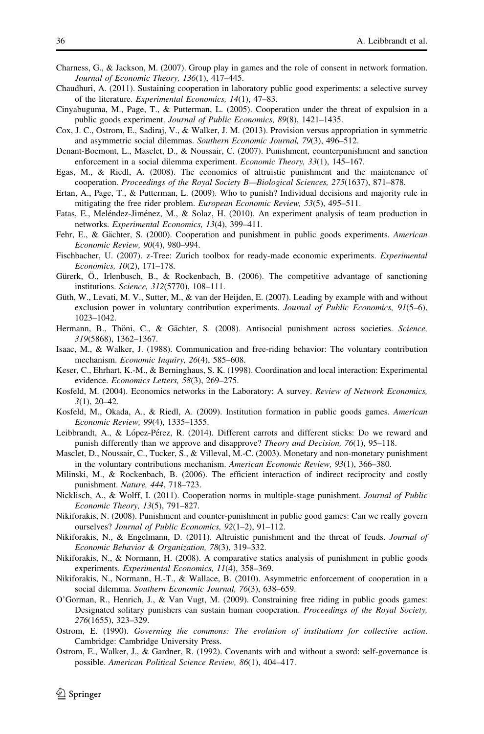- <span id="page-21-0"></span>Charness, G., & Jackson, M. (2007). Group play in games and the role of consent in network formation. Journal of Economic Theory, 136(1), 417–445.
- Chaudhuri, A. (2011). Sustaining cooperation in laboratory public good experiments: a selective survey of the literature. Experimental Economics, 14(1), 47–83.
- Cinyabuguma, M., Page, T., & Putterman, L. (2005). Cooperation under the threat of expulsion in a public goods experiment. Journal of Public Economics, 89(8), 1421–1435.
- Cox, J. C., Ostrom, E., Sadiraj, V., & Walker, J. M. (2013). Provision versus appropriation in symmetric and asymmetric social dilemmas. Southern Economic Journal, 79(3), 496–512.
- Denant-Boemont, L., Masclet, D., & Noussair, C. (2007). Punishment, counterpunishment and sanction enforcement in a social dilemma experiment. Economic Theory, 33(1), 145–167.
- Egas, M., & Riedl, A. (2008). The economics of altruistic punishment and the maintenance of cooperation. Proceedings of the Royal Society B—Biological Sciences, 275(1637), 871–878.
- Ertan, A., Page, T., & Putterman, L. (2009). Who to punish? Individual decisions and majority rule in mitigating the free rider problem. European Economic Review, 53(5), 495–511.
- Fatas, E., Meléndez-Jiménez, M., & Solaz, H. (2010). An experiment analysis of team production in networks. Experimental Economics, 13(4), 399–411.
- Fehr, E., & Gächter, S. (2000). Cooperation and punishment in public goods experiments. American Economic Review, 90(4), 980–994.
- Fischbacher, U. (2007). z-Tree: Zurich toolbox for ready-made economic experiments. Experimental Economics, 10(2), 171–178.
- Gürerk, Ö., Irlenbusch, B., & Rockenbach, B. (2006). The competitive advantage of sanctioning institutions. Science, 312(5770), 108–111.
- Güth, W., Levati, M. V., Sutter, M., & van der Heijden, E. (2007). Leading by example with and without exclusion power in voluntary contribution experiments. Journal of Public Economics, 91(5–6), 1023–1042.
- Hermann, B., Thöni, C., & Gächter, S. (2008). Antisocial punishment across societies. Science, 319(5868), 1362–1367.
- Isaac, M., & Walker, J. (1988). Communication and free-riding behavior: The voluntary contribution mechanism. Economic Inquiry, 26(4), 585–608.
- Keser, C., Ehrhart, K.-M., & Berninghaus, S. K. (1998). Coordination and local interaction: Experimental evidence. Economics Letters, 58(3), 269–275.
- Kosfeld, M. (2004). Economics networks in the Laboratory: A survey. Review of Network Economics, 3(1), 20–42.
- Kosfeld, M., Okada, A., & Riedl, A. (2009). Institution formation in public goods games. American Economic Review, 99(4), 1335–1355.
- Leibbrandt, A., & López-Pérez, R. (2014). Different carrots and different sticks: Do we reward and punish differently than we approve and disapprove? Theory and Decision, 76(1), 95-118.
- Masclet, D., Noussair, C., Tucker, S., & Villeval, M.-C. (2003). Monetary and non-monetary punishment in the voluntary contributions mechanism. American Economic Review, 93(1), 366–380.
- Milinski, M., & Rockenbach, B. (2006). The efficient interaction of indirect reciprocity and costly punishment. Nature, 444, 718–723.
- Nicklisch, A., & Wolff, I. (2011). Cooperation norms in multiple-stage punishment. Journal of Public Economic Theory, 13(5), 791–827.
- Nikiforakis, N. (2008). Punishment and counter-punishment in public good games: Can we really govern ourselves? Journal of Public Economics, 92(1–2), 91–112.
- Nikiforakis, N., & Engelmann, D. (2011). Altruistic punishment and the threat of feuds. Journal of Economic Behavior & Organization, 78(3), 319–332.
- Nikiforakis, N., & Normann, H. (2008). A comparative statics analysis of punishment in public goods experiments. Experimental Economics, 11(4), 358–369.
- Nikiforakis, N., Normann, H.-T., & Wallace, B. (2010). Asymmetric enforcement of cooperation in a social dilemma. Southern Economic Journal, 76(3), 638–659.
- O'Gorman, R., Henrich, J., & Van Vugt, M. (2009). Constraining free riding in public goods games: Designated solitary punishers can sustain human cooperation. Proceedings of the Royal Society, 276(1655), 323–329.
- Ostrom, E. (1990). Governing the commons: The evolution of institutions for collective action. Cambridge: Cambridge University Press.
- Ostrom, E., Walker, J., & Gardner, R. (1992). Covenants with and without a sword: self-governance is possible. American Political Science Review, 86(1), 404–417.